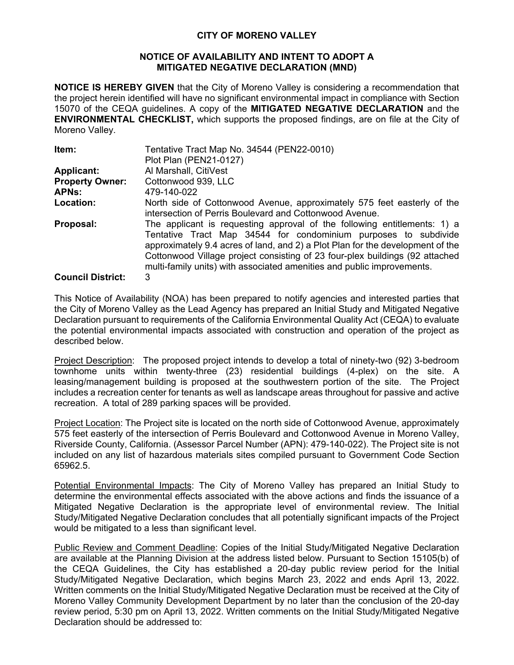## **CITY OF MORENO VALLEY**

## **NOTICE OF AVAILABILITY AND INTENT TO ADOPT A MITIGATED NEGATIVE DECLARATION (MND)**

**NOTICE IS HEREBY GIVEN** that the City of Moreno Valley is considering a recommendation that the project herein identified will have no significant environmental impact in compliance with Section 15070 of the CEQA guidelines. A copy of the **MITIGATED NEGATIVE DECLARATION** and the **ENVIRONMENTAL CHECKLIST,** which supports the proposed findings, are on file at the City of Moreno Valley.

| Item:                    | Tentative Tract Map No. 34544 (PEN22-0010)                                     |  |  |
|--------------------------|--------------------------------------------------------------------------------|--|--|
|                          | Plot Plan (PEN21-0127)                                                         |  |  |
| <b>Applicant:</b>        | Al Marshall, CitiVest                                                          |  |  |
| <b>Property Owner:</b>   | Cottonwood 939, LLC                                                            |  |  |
| <b>APNs:</b>             | 479-140-022                                                                    |  |  |
| Location:                | North side of Cottonwood Avenue, approximately 575 feet easterly of the        |  |  |
|                          | intersection of Perris Boulevard and Cottonwood Avenue.                        |  |  |
| Proposal:                | The applicant is requesting approval of the following entitlements: 1) a       |  |  |
|                          | Tentative Tract Map 34544 for condominium purposes to subdivide                |  |  |
|                          | approximately 9.4 acres of land, and 2) a Plot Plan for the development of the |  |  |
|                          | Cottonwood Village project consisting of 23 four-plex buildings (92 attached   |  |  |
|                          | multi-family units) with associated amenities and public improvements.         |  |  |
| <b>Council District:</b> | 3                                                                              |  |  |

This Notice of Availability (NOA) has been prepared to notify agencies and interested parties that the City of Moreno Valley as the Lead Agency has prepared an Initial Study and Mitigated Negative Declaration pursuant to requirements of the California Environmental Quality Act (CEQA) to evaluate the potential environmental impacts associated with construction and operation of the project as described below.

Project Description: The proposed project intends to develop a total of ninety-two (92) 3-bedroom townhome units within twenty-three (23) residential buildings (4-plex) on the site. A leasing/management building is proposed at the southwestern portion of the site. The Project includes a recreation center for tenants as well as landscape areas throughout for passive and active recreation. A total of 289 parking spaces will be provided.

Project Location: The Project site is located on the north side of Cottonwood Avenue, approximately 575 feet easterly of the intersection of Perris Boulevard and Cottonwood Avenue in Moreno Valley, Riverside County, California. (Assessor Parcel Number (APN): 479-140-022). The Project site is not included on any list of hazardous materials sites compiled pursuant to Government Code Section 65962.5.

Potential Environmental Impacts: The City of Moreno Valley has prepared an Initial Study to determine the environmental effects associated with the above actions and finds the issuance of a Mitigated Negative Declaration is the appropriate level of environmental review. The Initial Study/Mitigated Negative Declaration concludes that all potentially significant impacts of the Project would be mitigated to a less than significant level.

Public Review and Comment Deadline: Copies of the Initial Study/Mitigated Negative Declaration are available at the Planning Division at the address listed below. Pursuant to Section 15105(b) of the CEQA Guidelines, the City has established a 20-day public review period for the Initial Study/Mitigated Negative Declaration, which begins March 23, 2022 and ends April 13, 2022. Written comments on the Initial Study/Mitigated Negative Declaration must be received at the City of Moreno Valley Community Development Department by no later than the conclusion of the 20-day review period, 5:30 pm on April 13, 2022. Written comments on the Initial Study/Mitigated Negative Declaration should be addressed to: